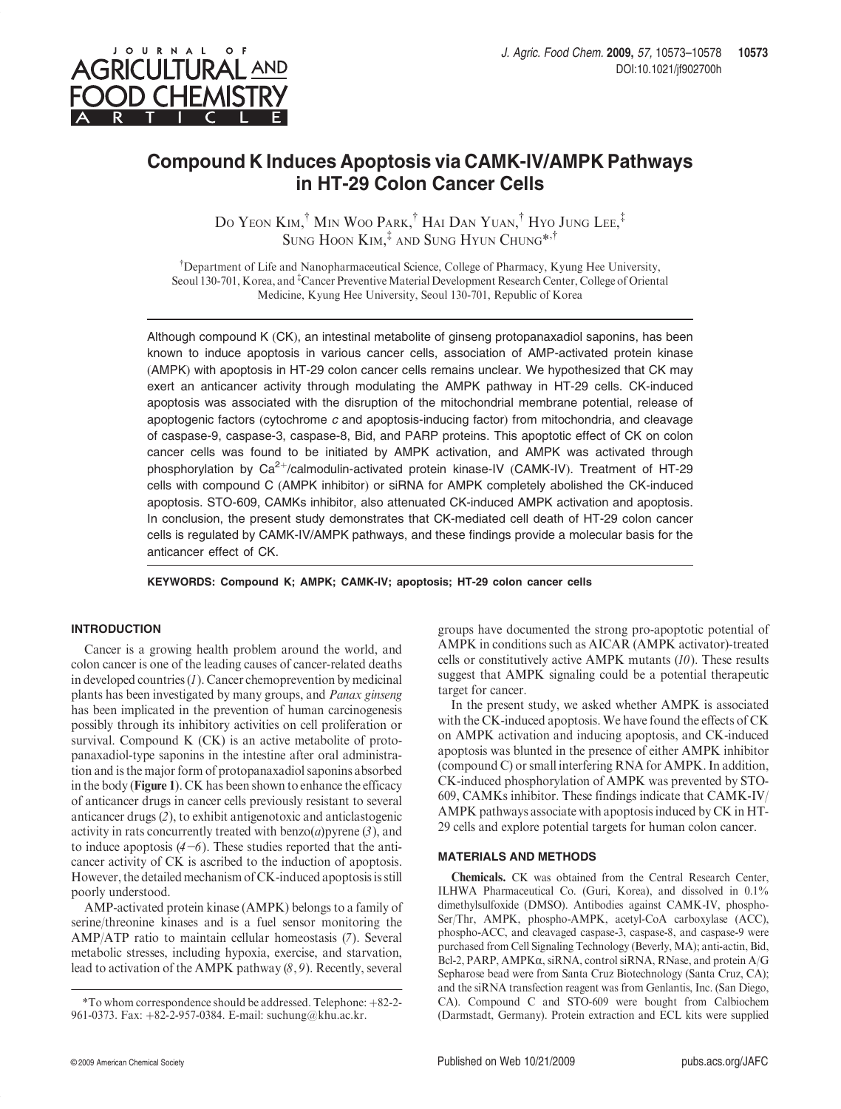

JOURNAL OF

# Compound K Induces Apoptosis via CAMK-IV/AMPK Pathways in HT-29 Colon Cancer Cells

Do Yeon Kim,<sup>†</sup> Min Woo Park,<sup>†</sup> Hai Dan Yuan,<sup>†</sup> Hyo Jung Lee,<sup>‡</sup> SUNG HOON KIM,<sup>‡</sup> AND SUNG HYUN CHUNG<sup>\*,†</sup>

<sup>†</sup>Department of Life and Nanopharmaceutical Science, College of Pharmacy, Kyung Hee University, Seoul 130-701, Korea, and <sup>‡</sup>Cancer Preventive Material Development Research Center, College of Oriental Medicine, Kyung Hee University, Seoul 130-701, Republic of Korea

Although compound K (CK), an intestinal metabolite of ginseng protopanaxadiol saponins, has been known to induce apoptosis in various cancer cells, association of AMP-activated protein kinase (AMPK) with apoptosis in HT-29 colon cancer cells remains unclear. We hypothesized that CK may exert an anticancer activity through modulating the AMPK pathway in HT-29 cells. CK-induced apoptosis was associated with the disruption of the mitochondrial membrane potential, release of apoptogenic factors (cytochrome  $c$  and apoptosis-inducing factor) from mitochondria, and cleavage of caspase-9, caspase-3, caspase-8, Bid, and PARP proteins. This apoptotic effect of CK on colon cancer cells was found to be initiated by AMPK activation, and AMPK was activated through phosphorylation by  $Ca^{2+}/c$ almodulin-activated protein kinase-IV (CAMK-IV). Treatment of HT-29 cells with compound C (AMPK inhibitor) or siRNA for AMPK completely abolished the CK-induced apoptosis. STO-609, CAMKs inhibitor, also attenuated CK-induced AMPK activation and apoptosis. In conclusion, the present study demonstrates that CK-mediated cell death of HT-29 colon cancer cells is regulated by CAMK-IV/AMPK pathways, and these findings provide a molecular basis for the anticancer effect of CK.

KEYWORDS: Compound K; AMPK; CAMK-IV; apoptosis; HT-29 colon cancer cells

# INTRODUCTION

Cancer is a growing health problem around the world, and colon cancer is one of the leading causes of cancer-related deaths in developed countries  $(I)$ . Cancer chemoprevention by medicinal plants has been investigated by many groups, and Panax ginseng has been implicated in the prevention of human carcinogenesis possibly through its inhibitory activities on cell proliferation or survival. Compound K (CK) is an active metabolite of protopanaxadiol-type saponins in the intestine after oral administration and is the major form of protopanaxadiol saponins absorbed in the body (Figure 1). CK has been shown to enhance the efficacy of anticancer drugs in cancer cells previously resistant to several anticancer drugs (2), to exhibit antigenotoxic and anticlastogenic activity in rats concurrently treated with  $benzo(a)$ pyrene  $(3)$ , and to induce apoptosis  $(4-6)$ . These studies reported that the anticancer activity of CK is ascribed to the induction of apoptosis. However, the detailed mechanism of CK-induced apoptosis is still poorly understood.

AMP-activated protein kinase (AMPK) belongs to a family of serine/threonine kinases and is a fuel sensor monitoring the AMP/ATP ratio to maintain cellular homeostasis (7). Several metabolic stresses, including hypoxia, exercise, and starvation, lead to activation of the AMPK pathway (8, 9). Recently, several

groups have documented the strong pro-apoptotic potential of AMPK in conditions such as AICAR (AMPK activator)-treated cells or constitutively active AMPK mutants  $(10)$ . These results suggest that AMPK signaling could be a potential therapeutic target for cancer.

In the present study, we asked whether AMPK is associated with the CK-induced apoptosis. We have found the effects of CK on AMPK activation and inducing apoptosis, and CK-induced apoptosis was blunted in the presence of either AMPK inhibitor (compound C) or small interfering RNA for AMPK. In addition, CK-induced phosphorylation of AMPK was prevented by STO-609, CAMKs inhibitor. These findings indicate that CAMK-IV/ AMPK pathways associate with apoptosis induced by CK in HT-29 cells and explore potential targets for human colon cancer.

## MATERIALS AND METHODS

Chemicals. CK was obtained from the Central Research Center, ILHWA Pharmaceutical Co. (Guri, Korea), and dissolved in 0.1% dimethylsulfoxide (DMSO). Antibodies against CAMK-IV, phospho-Ser/Thr, AMPK, phospho-AMPK, acetyl-CoA carboxylase (ACC), phospho-ACC, and cleavaged caspase-3, caspase-8, and caspase-9 were purchased from Cell Signaling Technology (Beverly, MA); anti-actin, Bid, Bcl-2, PARP, AMPK $\alpha$ , siRNA, control siRNA, RNase, and protein A/G Sepharose bead were from Santa Cruz Biotechnology (Santa Cruz, CA); and the siRNA transfection reagent was from Genlantis, Inc. (San Diego, CA). Compound C and STO-609 were bought from Calbiochem (Darmstadt, Germany). Protein extraction and ECL kits were supplied

 $*$ To whom correspondence should be addressed. Telephone:  $+82-2-$ 961-0373. Fax: +82-2-957-0384. E-mail: suchung@khu.ac.kr.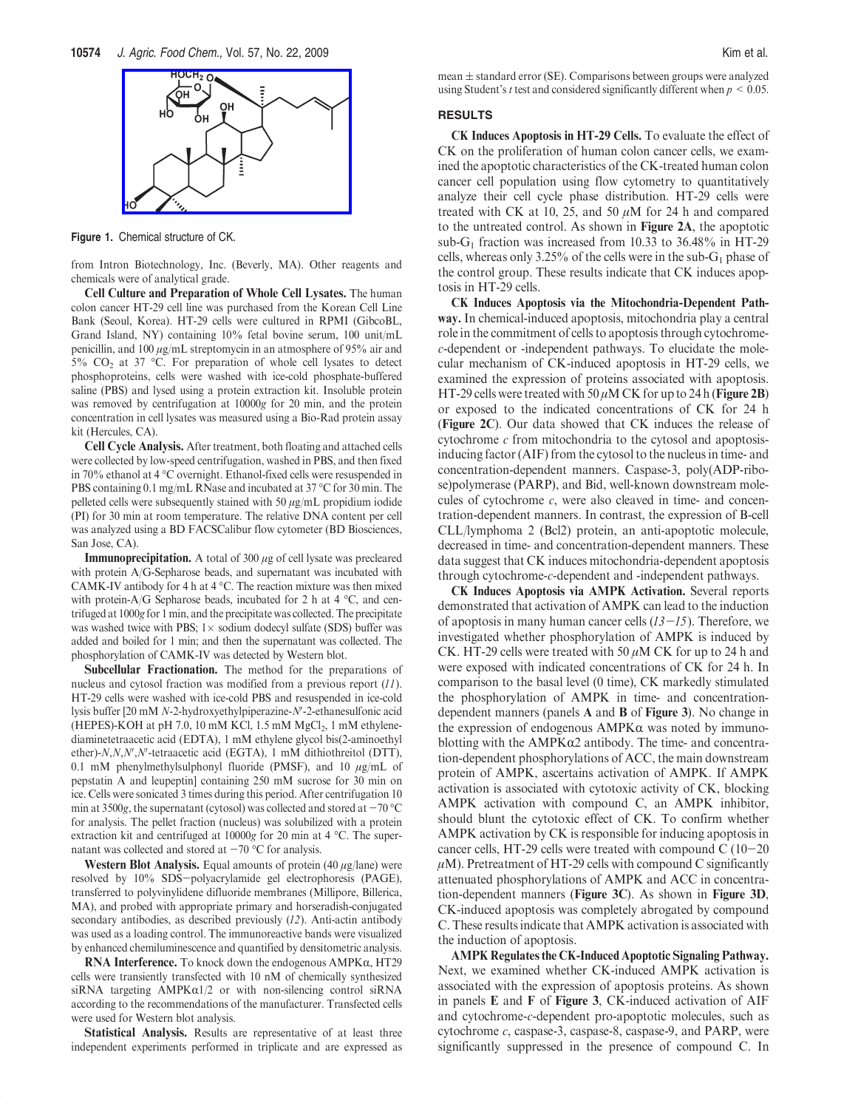

Figure 1. Chemical structure of CK.

from Intron Biotechnology, Inc. (Beverly, MA). Other reagents and chemicals were of analytical grade.

Cell Culture and Preparation of Whole Cell Lysates. The human colon cancer HT-29 cell line was purchased from the Korean Cell Line Bank (Seoul, Korea). HT-29 cells were cultured in RPMI (GibcoBL, Grand Island, NY) containing 10% fetal bovine serum, 100 unit/mL penicillin, and 100 μg/mL streptomycin in an atmosphere of 95% air and  $5\%$  CO<sub>2</sub> at 37 °C. For preparation of whole cell lysates to detect phosphoproteins, cells were washed with ice-cold phosphate-buffered saline (PBS) and lysed using a protein extraction kit. Insoluble protein was removed by centrifugation at 10000g for 20 min, and the protein concentration in cell lysates was measured using a Bio-Rad protein assay kit (Hercules, CA).

Cell Cycle Analysis. After treatment, both floating and attached cells were collected by low-speed centrifugation, washed in PBS, and then fixed in 70% ethanol at 4 °C overnight. Ethanol-fixed cells were resuspended in PBS containing 0.1 mg/mL RNase and incubated at  $37^{\circ}$ C for 30 min. The pelleted cells were subsequently stained with 50  $\mu$ g/mL propidium iodide (PI) for 30 min at room temperature. The relative DNA content per cell was analyzed using a BD FACSCalibur flow cytometer (BD Biosciences, San Jose, CA).

**Immunoprecipitation.** A total of 300  $\mu$ g of cell lysate was precleared with protein A/G-Sepharose beads, and supernatant was incubated with CAMK-IV antibody for 4 h at  $4^{\circ}$ C. The reaction mixture was then mixed with protein-A/G Sepharose beads, incubated for 2 h at 4  $\degree$ C, and centrifuged at 1000g for 1 min, and the precipitate was collected. The precipitate was washed twice with PBS;  $1 \times$  sodium dodecyl sulfate (SDS) buffer was added and boiled for 1 min; and then the supernatant was collected. The phosphorylation of CAMK-IV was detected by Western blot.

Subcellular Fractionation. The method for the preparations of nucleus and cytosol fraction was modified from a previous report (11). HT-29 cells were washed with ice-cold PBS and resuspended in ice-cold lysis buffer [20 mM *N*-2-hydroxyethylpiperazine-*N*'-2-ethanesulfonic acid (HEPES)-KOH at pH 7.0, 10 mM KCl, 1.5 mM  $MgCl<sub>2</sub>$ , 1 mM ethylenediaminetetraacetic acid (EDTA), 1 mM ethylene glycol bis(2-aminoethyl ether)- $N, N, N', N'$ -tetraacetic acid (EGTA), 1 mM dithiothreitol (DTT), 0.1 mM phenylmethylsulphonyl fluoride (PMSF), and 10  $\mu$ g/mL of pepstatin A and leupeptin] containing 250 mM sucrose for 30 min on ice. Cells were sonicated 3 times during this period. After centrifugation 10 min at 3500g, the supernatant (cytosol) was collected and stored at  $-70^{\circ}$ C for analysis. The pellet fraction (nucleus) was solubilized with a protein extraction kit and centrifuged at  $10000g$  for 20 min at 4 °C. The supernatant was collected and stored at  $-70$  °C for analysis.

Western Blot Analysis. Equal amounts of protein  $(40 \mu g / \text{lane})$  were resolved by 10% SDS-polyacrylamide gel electrophoresis (PAGE), transferred to polyvinylidene difluoride membranes (Millipore, Billerica, MA), and probed with appropriate primary and horseradish-conjugated secondary antibodies, as described previously (12). Anti-actin antibody was used as a loading control. The immunoreactive bands were visualized by enhanced chemiluminescence and quantified by densitometric analysis.

RNA Interference. To knock down the endogenous  $AMPK\alpha$ , HT29 cells were transiently transfected with 10 nM of chemically synthesized siRNA targeting  $AMPK\alpha1/2$  or with non-silencing control siRNA according to the recommendations of the manufacturer. Transfected cells were used for Western blot analysis.

Statistical Analysis. Results are representative of at least three independent experiments performed in triplicate and are expressed as mean  $\pm$  standard error (SE). Comparisons between groups were analyzed using Student's *t* test and considered significantly different when  $p \le 0.05$ .

#### RESULTS

CK Induces Apoptosis in HT-29 Cells. To evaluate the effect of CK on the proliferation of human colon cancer cells, we examined the apoptotic characteristics of the CK-treated human colon cancer cell population using flow cytometry to quantitatively analyze their cell cycle phase distribution. HT-29 cells were treated with CK at 10, 25, and 50  $\mu$ M for 24 h and compared to the untreated control. As shown in Figure 2A, the apoptotic sub-G<sub>1</sub> fraction was increased from 10.33 to 36.48% in HT-29 cells, whereas only 3.25% of the cells were in the sub- $G_1$  phase of the control group. These results indicate that CK induces apoptosis in HT-29 cells.

CK Induces Apoptosis via the Mitochondria-Dependent Pathway. In chemical-induced apoptosis, mitochondria play a central role in the commitment of cells to apoptosis through cytochromec-dependent or -independent pathways. To elucidate the molecular mechanism of CK-induced apoptosis in HT-29 cells, we examined the expression of proteins associated with apoptosis. HT-29 cells were treated with 50  $\mu$ M CK for up to 24 h (**Figure 2B**) or exposed to the indicated concentrations of CK for 24 h (Figure 2C). Our data showed that CK induces the release of cytochrome c from mitochondria to the cytosol and apoptosisinducing factor (AIF) from the cytosol to the nucleus in time- and concentration-dependent manners. Caspase-3, poly(ADP-ribose)polymerase (PARP), and Bid, well-known downstream molecules of cytochrome  $c$ , were also cleaved in time- and concentration-dependent manners. In contrast, the expression of B-cell CLL/lymphoma 2 (Bcl2) protein, an anti-apoptotic molecule, decreased in time- and concentration-dependent manners. These data suggest that CK induces mitochondria-dependent apoptosis through cytochrome-c-dependent and -independent pathways.

CK Induces Apoptosis via AMPK Activation. Several reports demonstrated that activation of AMPK can lead to the induction of apoptosis in many human cancer cells  $(13-15)$ . Therefore, we investigated whether phosphorylation of AMPK is induced by CK. HT-29 cells were treated with 50  $\mu$ M CK for up to 24 h and were exposed with indicated concentrations of CK for 24 h. In comparison to the basal level (0 time), CK markedly stimulated the phosphorylation of AMPK in time- and concentrationdependent manners (panels A and B of Figure 3). No change in the expression of endogenous  $AMPK\alpha$  was noted by immunoblotting with the  $AMPK\alpha2$  antibody. The time- and concentration-dependent phosphorylations of ACC, the main downstream protein of AMPK, ascertains activation of AMPK. If AMPK activation is associated with cytotoxic activity of CK, blocking AMPK activation with compound C, an AMPK inhibitor, should blunt the cytotoxic effect of CK. To confirm whether AMPK activation by CK is responsible for inducing apoptosis in cancer cells, HT-29 cells were treated with compound  $C(10-20)$  $\mu$ M). Pretreatment of HT-29 cells with compound C significantly attenuated phosphorylations of AMPK and ACC in concentration-dependent manners (Figure 3C). As shown in Figure 3D, CK-induced apoptosis was completely abrogated by compound C. These results indicate that AMPK activation is associated with the induction of apoptosis.

AMPK Regulates the CK-Induced Apoptotic Signaling Pathway. Next, we examined whether CK-induced AMPK activation is associated with the expression of apoptosis proteins. As shown in panels E and F of Figure 3, CK-induced activation of AIF and cytochrome-c-dependent pro-apoptotic molecules, such as cytochrome c, caspase-3, caspase-8, caspase-9, and PARP, were significantly suppressed in the presence of compound C. In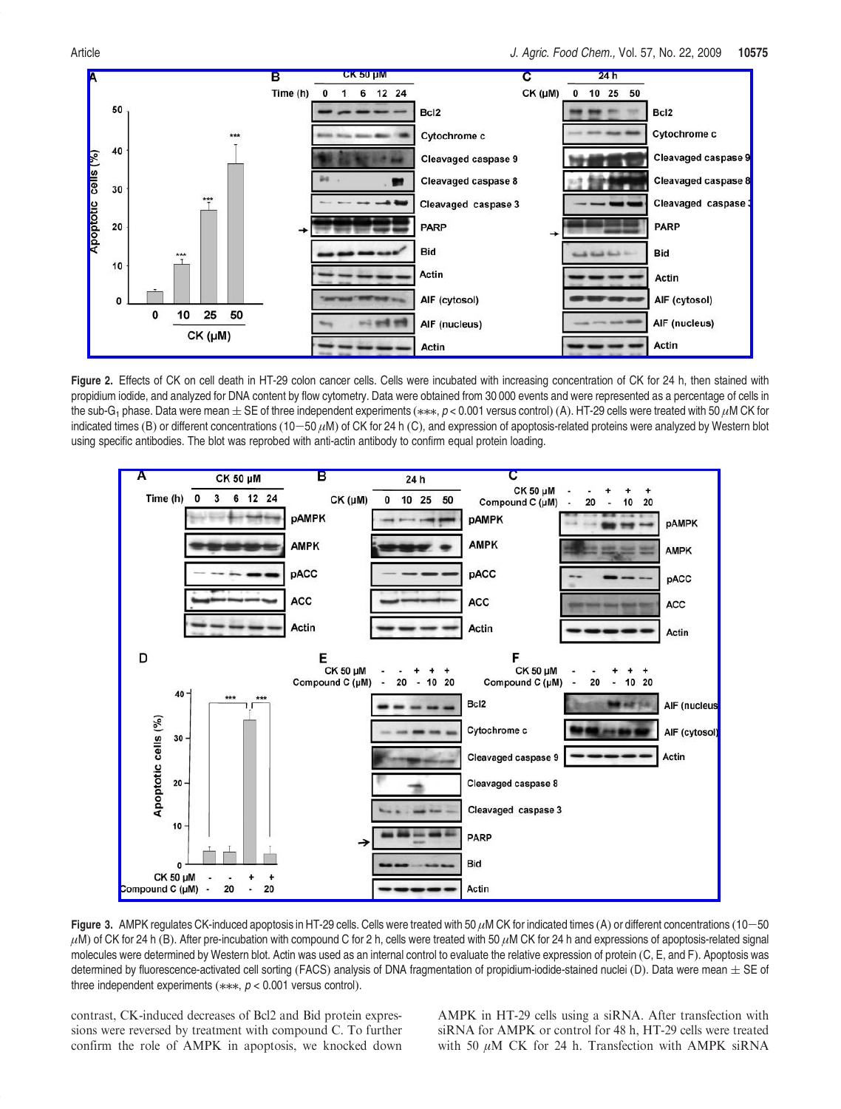

Figure 2. Effects of CK on cell death in HT-29 colon cancer cells. Cells were incubated with increasing concentration of CK for 24 h, then stained with propidium iodide, and analyzed for DNA content by flow cytometry. Data were obtained from 30 000 events and were represented as a percentage of cells in the sub-G<sub>1</sub> phase. Data were mean  $\pm$  SE of three independent experiments (\*\*\*, p < 0.001 versus control) (A). HT-29 cells were treated with 50  $\mu$ M CK for indicated times (B) or different concentrations (10-50  $\mu$ M) of CK for 24 h (C), and expression of apoptosis-related proteins were analyzed by Western blot using specific antibodies. The blot was reprobed with anti-actin antibody to confirm equal protein loading.



Figure 3. AMPK regulates CK-induced apoptosis in HT-29 cells. Cells were treated with 50  $\mu$ M CK for indicated times (A) or different concentrations (10-50  $\mu$ M) of CK for 24 h (B). After pre-incubation with compound C for 2 h, cells were treated with 50  $\mu$ M CK for 24 h and expressions of apoptosis-related signal molecules were determined by Western blot. Actin was used as an internal control to evaluate the relative expression of protein (C, E, and F). Apoptosis was determined by fluorescence-activated cell sorting (FACS) analysis of DNA fragmentation of propidium-iodide-stained nuclei (D). Data were mean  $\pm$  SE of three independent experiments ( $**$ ,  $p < 0.001$  versus control).

contrast, CK-induced decreases of Bcl2 and Bid protein expressions were reversed by treatment with compound C. To further confirm the role of AMPK in apoptosis, we knocked down AMPK in HT-29 cells using a siRNA. After transfection with siRNA for AMPK or control for 48 h, HT-29 cells were treated with 50  $\mu$ M CK for 24 h. Transfection with AMPK siRNA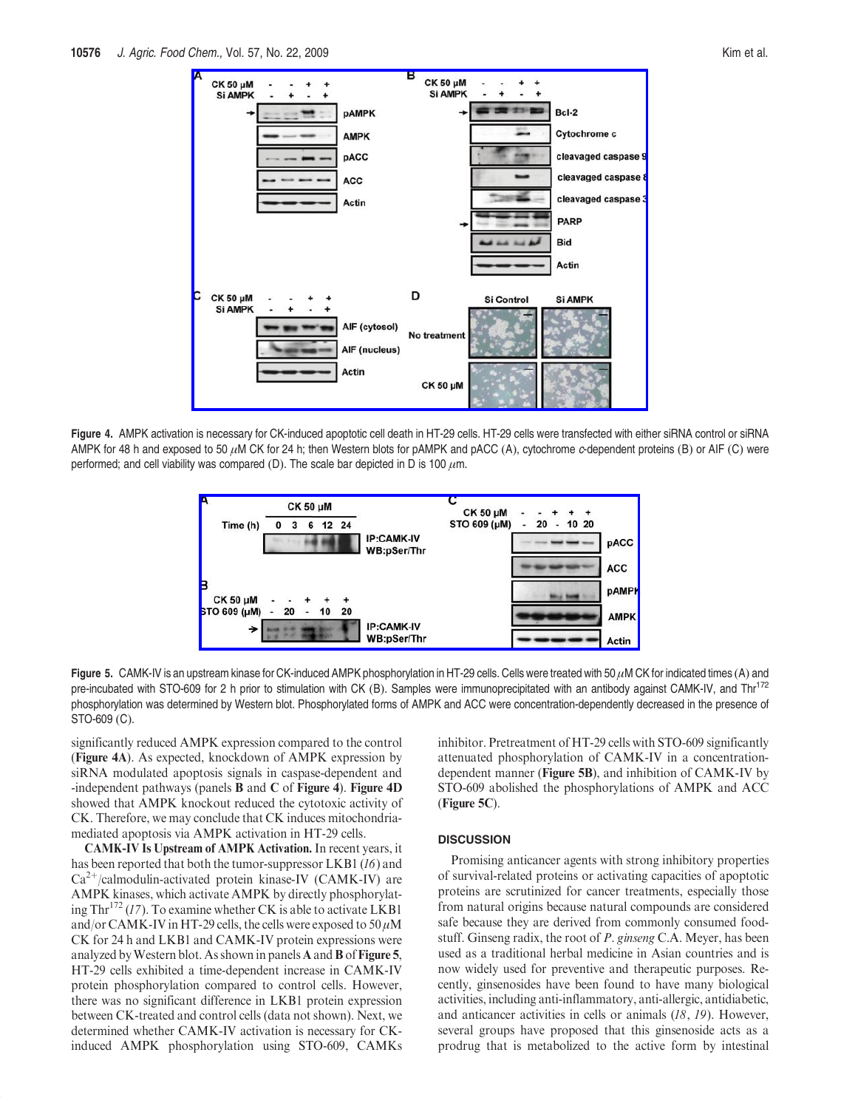

Figure 4. AMPK activation is necessary for CK-induced apoptotic cell death in HT-29 cells. HT-29 cells were transfected with either siRNA control or siRNA AMPK for 48 h and exposed to 50  $\mu$ M CK for 24 h; then Western blots for pAMPK and pACC (A), cytochrome c-dependent proteins (B) or AIF (C) were performed; and cell viability was compared (D). The scale bar depicted in D is 100  $\mu$ m.



Figure 5. CAMK-IV is an upstream kinase for CK-induced AMPK phosphorylation in HT-29 cells. Cells were treated with 50 μM CK for indicated times (A) and pre-incubated with STO-609 for 2 h prior to stimulation with CK (B). Samples were immunoprecipitated with an antibody against CAMK-IV, and Thr<sup>172</sup> phosphorylation was determined by Western blot. Phosphorylated forms of AMPK and ACC were concentration-dependently decreased in the presence of STO-609 (C).

significantly reduced AMPK expression compared to the control (Figure 4A). As expected, knockdown of AMPK expression by siRNA modulated apoptosis signals in caspase-dependent and -independent pathways (panels B and C of Figure 4). Figure 4D showed that AMPK knockout reduced the cytotoxic activity of CK. Therefore, we may conclude that CK induces mitochondriamediated apoptosis via AMPK activation in HT-29 cells.

CAMK-IV Is Upstream of AMPK Activation. In recent years, it has been reported that both the tumor-suppressor LKB1 (16) and  $Ca^{2+}/calmoduli$ n-activated protein kinase-IV (CAMK-IV) are AMPK kinases, which activate AMPK by directly phosphorylating Thr<sup>172</sup> (17). To examine whether CK is able to activate LKB1 and/or CAMK-IV in HT-29 cells, the cells were exposed to  $50 \mu$ M CK for 24 h and LKB1 and CAMK-IV protein expressions were analyzed by Western blot. As shown in panels  $A$  and  $B$  of Figure 5, HT-29 cells exhibited a time-dependent increase in CAMK-IV protein phosphorylation compared to control cells. However, there was no significant difference in LKB1 protein expression between CK-treated and control cells (data not shown). Next, we determined whether CAMK-IV activation is necessary for CKinduced AMPK phosphorylation using STO-609, CAMKs inhibitor. Pretreatment of HT-29 cells with STO-609 significantly attenuated phosphorylation of CAMK-IV in a concentrationdependent manner (Figure 5B), and inhibition of CAMK-IV by STO-609 abolished the phosphorylations of AMPK and ACC (Figure 5C).

#### **DISCUSSION**

Promising anticancer agents with strong inhibitory properties of survival-related proteins or activating capacities of apoptotic proteins are scrutinized for cancer treatments, especially those from natural origins because natural compounds are considered safe because they are derived from commonly consumed foodstuff. Ginseng radix, the root of P. ginseng C.A. Meyer, has been used as a traditional herbal medicine in Asian countries and is now widely used for preventive and therapeutic purposes. Recently, ginsenosides have been found to have many biological activities, including anti-inflammatory, anti-allergic, antidiabetic, and anticancer activities in cells or animals (18, 19). However, several groups have proposed that this ginsenoside acts as a prodrug that is metabolized to the active form by intestinal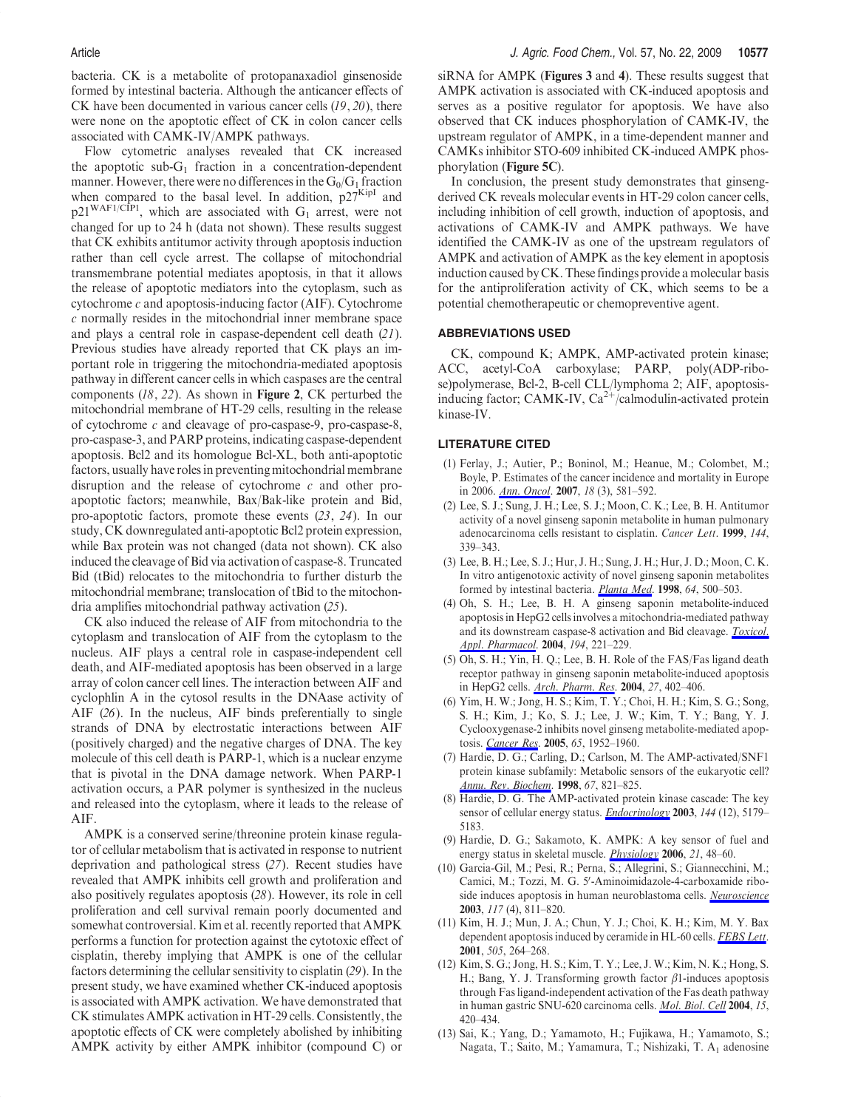bacteria. CK is a metabolite of protopanaxadiol ginsenoside formed by intestinal bacteria. Although the anticancer effects of CK have been documented in various cancer cells (19, 20), there were none on the apoptotic effect of CK in colon cancer cells associated with CAMK-IV/AMPK pathways.

Flow cytometric analyses revealed that CK increased the apoptotic sub- $G_1$  fraction in a concentration-dependent manner. However, there were no differences in the  $G_0/G_1$  fraction when compared to the basal level. In addition,  $p27<sup>KipI</sup>$  and  $p21^{WAF1/CIP1}$ , which are associated with  $G_1$  arrest, were not changed for up to 24 h (data not shown). These results suggest that CK exhibits antitumor activity through apoptosis induction rather than cell cycle arrest. The collapse of mitochondrial transmembrane potential mediates apoptosis, in that it allows the release of apoptotic mediators into the cytoplasm, such as cytochrome  $c$  and apoptosis-inducing factor (AIF). Cytochrome c normally resides in the mitochondrial inner membrane space and plays a central role in caspase-dependent cell death (21). Previous studies have already reported that CK plays an important role in triggering the mitochondria-mediated apoptosis pathway in different cancer cells in which caspases are the central components (18, 22). As shown in Figure 2, CK perturbed the mitochondrial membrane of HT-29 cells, resulting in the release of cytochrome c and cleavage of pro-caspase-9, pro-caspase-8, pro-caspase-3, and PARP proteins, indicating caspase-dependent apoptosis. Bcl2 and its homologue Bcl-XL, both anti-apoptotic factors, usually have roles in preventing mitochondrial membrane disruption and the release of cytochrome c and other proapoptotic factors; meanwhile, Bax/Bak-like protein and Bid, pro-apoptotic factors, promote these events (23, 24). In our study, CK downregulated anti-apoptotic Bcl2 protein expression, while Bax protein was not changed (data not shown). CK also induced the cleavage of Bid via activation of caspase-8. Truncated Bid (tBid) relocates to the mitochondria to further disturb the mitochondrial membrane; translocation of tBid to the mitochondria amplifies mitochondrial pathway activation (25).

CK also induced the release of AIF from mitochondria to the cytoplasm and translocation of AIF from the cytoplasm to the nucleus. AIF plays a central role in caspase-independent cell death, and AIF-mediated apoptosis has been observed in a large array of colon cancer cell lines. The interaction between AIF and cyclophlin A in the cytosol results in the DNAase activity of AIF (26). In the nucleus, AIF binds preferentially to single strands of DNA by electrostatic interactions between AIF (positively charged) and the negative charges of DNA. The key molecule of this cell death is PARP-1, which is a nuclear enzyme that is pivotal in the DNA damage network. When PARP-1 activation occurs, a PAR polymer is synthesized in the nucleus and released into the cytoplasm, where it leads to the release of AIF.

AMPK is a conserved serine/threonine protein kinase regulator of cellular metabolism that is activated in response to nutrient deprivation and pathological stress (27). Recent studies have revealed that AMPK inhibits cell growth and proliferation and also positively regulates apoptosis (28). However, its role in cell proliferation and cell survival remain poorly documented and somewhat controversial. Kim et al. recently reported that AMPK performs a function for protection against the cytotoxic effect of cisplatin, thereby implying that AMPK is one of the cellular factors determining the cellular sensitivity to cisplatin (29). In the present study, we have examined whether CK-induced apoptosis is associated with AMPK activation. We have demonstrated that CK stimulates AMPK activation in HT-29 cells. Consistently, the apoptotic effects of CK were completely abolished by inhibiting AMPK activity by either AMPK inhibitor (compound C) or

siRNA for AMPK (Figures 3 and 4). These results suggest that AMPK activation is associated with CK-induced apoptosis and serves as a positive regulator for apoptosis. We have also observed that CK induces phosphorylation of CAMK-IV, the upstream regulator of AMPK, in a time-dependent manner and CAMKs inhibitor STO-609 inhibited CK-induced AMPK phosphorylation (Figure 5C).

In conclusion, the present study demonstrates that ginsengderived CK reveals molecular events in HT-29 colon cancer cells, including inhibition of cell growth, induction of apoptosis, and activations of CAMK-IV and AMPK pathways. We have identified the CAMK-IV as one of the upstream regulators of AMPK and activation of AMPK as the key element in apoptosis induction caused by CK. These findings provide a molecular basis for the antiproliferation activity of CK, which seems to be a potential chemotherapeutic or chemopreventive agent.

# ABBREVIATIONS USED

CK, compound K; AMPK, AMP-activated protein kinase; ACC, acetyl-CoA carboxylase; PARP, poly(ADP-ribose)polymerase, Bcl-2, B-cell CLL/lymphoma 2; AIF, apoptosisinducing factor; CAMK-IV,  $Ca^{2+}/cal$ calmodulin-activated protein kinase-IV.

### LITERATURE CITED

- (1) Ferlay, J.; Autier, P.; Boninol, M.; Heanue, M.; Colombet, M.; Boyle, P. Estimates of the cancer incidence and mortality in Europe in 2006. *Ann. Oncol.* **2007**, 18 (3), 581–592.
- (2) Lee, S. J.; Sung, J. H.; Lee, S. J.; Moon, C. K.; Lee, B. H. Antitumor activity of a novel ginseng saponin metabolite in human pulmonary adenocarcinoma cells resistant to cisplatin. Cancer Lett. 1999, 144, 339–343.
- (3) Lee, B. H.; Lee, S. J.; Hur, J. H.; Sung, J. H.; Hur, J. D.; Moon, C. K. In vitro antigenotoxic activity of novel ginseng saponin metabolites formed by intestinal bacteria. Planta Med. 1998, 64, 500-503.
- (4) Oh, S. H.; Lee, B. H. A ginseng saponin metabolite-induced apoptosis in HepG2 cells involves a mitochondria-mediated pathway and its downstream caspase-8 activation and Bid cleavage. Toxicol. Appl. Pharmacol. 2004, 194, 221-229.
- (5) Oh, S. H.; Yin, H. Q.; Lee, B. H. Role of the FAS/Fas ligand death receptor pathway in ginseng saponin metabolite-induced apoptosis in HepG2 cells. Arch. Pharm. Res. 2004, 27, 402-406.
- (6) Yim, H. W.; Jong, H. S.; Kim, T. Y.; Choi, H. H.; Kim, S. G.; Song, S. H.; Kim, J.; Ko, S. J.; Lee, J. W.; Kim, T. Y.; Bang, Y. J. Cyclooxygenase-2 inhibits novel ginseng metabolite-mediated apoptosis. Cancer Res. 2005, 65, 1952–1960.
- (7) Hardie, D. G.; Carling, D.; Carlson, M. The AMP-activated/SNF1 protein kinase subfamily: Metabolic sensors of the eukaryotic cell? Annu. Rev. Biochem. 1998, 67, 821-825.
- (8) Hardie, D. G. The AMP-activated protein kinase cascade: The key sensor of cellular energy status. **Endocrinology 2003**, 144 (12), 5179– 5183.
- (9) Hardie, D. G.; Sakamoto, K. AMPK: A key sensor of fuel and energy status in skeletal muscle. Physiology 2006, 21, 48–60.
- (10) Garcia-Gil, M.; Pesi, R.; Perna, S.; Allegrini, S.; Giannecchini, M.; Camici, M.; Tozzi, M. G. 5'-Aminoimidazole-4-carboxamide riboside induces apoptosis in human neuroblastoma cells. Neuroscience 2003, 117 (4), 811–820.
- (11) Kim, H. J.; Mun, J. A.; Chun, Y. J.; Choi, K. H.; Kim, M. Y. Bax dependent apoptosis induced by ceramide in HL-60 cells. FEBS Lett. 2001, 505, 264–268.
- (12) Kim, S. G.; Jong, H. S.; Kim, T. Y.; Lee, J. W.; Kim, N. K.; Hong, S. H.; Bang, Y. J. Transforming growth factor  $\beta$ 1-induces apoptosis through Fas ligand-independent activation of the Fas death pathway in human gastric SNU-620 carcinoma cells. Mol. Biol. Cell 2004, 15, 420–434.
- (13) Sai, K.; Yang, D.; Yamamoto, H.; Fujikawa, H.; Yamamoto, S.; Nagata, T.; Saito, M.; Yamamura, T.; Nishizaki, T. A<sub>1</sub> adenosine